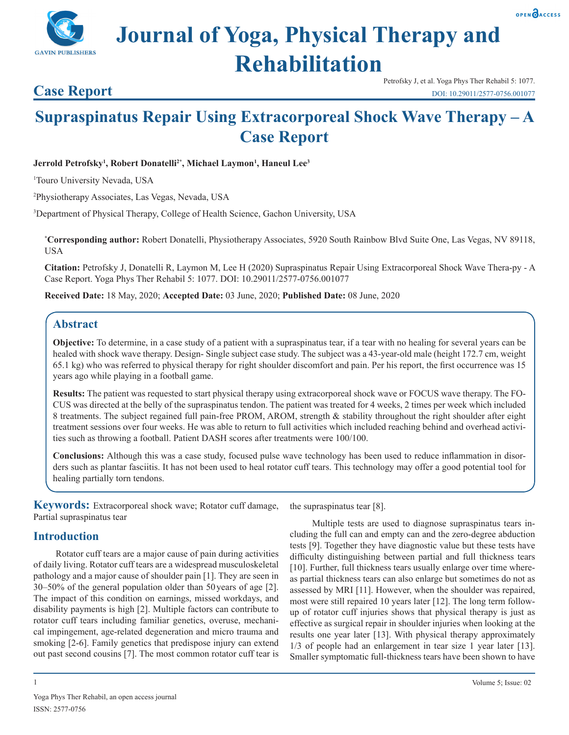

# **Journal of Yoga, Physical Therapy and Rehabilitation**



# **Supraspinatus Repair Using Extracorporeal Shock Wave Therapy – A Case Report**

#### Jerrold Petrofsky<sup>1</sup>, Robert Donatelli<sup>2\*</sup>, Michael Laymon<sup>1</sup>, Haneul Lee<sup>3</sup>

1 Touro University Nevada, USA

**Case Report**

**GAVIN PUBLISHERS** 

2 Physiotherapy Associates, Las Vegas, Nevada, USA

3 Department of Physical Therapy, College of Health Science, Gachon University, USA

**\* Corresponding author:** Robert Donatelli, Physiotherapy Associates, 5920 South Rainbow Blvd Suite One, Las Vegas, NV 89118, USA

**Citation:** Petrofsky J, Donatelli R, Laymon M, Lee H (2020) Supraspinatus Repair Using Extracorporeal Shock Wave Thera-py - A Case Report. Yoga Phys Ther Rehabil 5: 1077. DOI: 10.29011/2577-0756.001077

**Received Date:** 18 May, 2020; **Accepted Date:** 03 June, 2020; **Published Date:** 08 June, 2020

# **Abstract**

**Objective:** To determine, in a case study of a patient with a supraspinatus tear, if a tear with no healing for several years can be healed with shock wave therapy. Design- Single subject case study. The subject was a 43-year-old male (height 172.7 cm, weight 65.1 kg) who was referred to physical therapy for right shoulder discomfort and pain. Per his report, the first occurrence was 15 years ago while playing in a football game.

**Results:** The patient was requested to start physical therapy using extracorporeal shock wave or FOCUS wave therapy. The FO-CUS was directed at the belly of the supraspinatus tendon. The patient was treated for 4 weeks, 2 times per week which included 8 treatments. The subject regained full pain-free PROM, AROM, strength & stability throughout the right shoulder after eight treatment sessions over four weeks. He was able to return to full activities which included reaching behind and overhead activities such as throwing a football. Patient DASH scores after treatments were 100/100.

**Conclusions:** Although this was a case study, focused pulse wave technology has been used to reduce inflammation in disorders such as plantar fasciitis. It has not been used to heal rotator cuff tears. This technology may offer a good potential tool for healing partially torn tendons.

**Keywords:** Extracorporeal shock wave; Rotator cuff damage, Partial supraspinatus tear

## **Introduction**

Rotator cuff tears are a major cause of pain during activities of daily living. Rotator cuff tears are a widespread musculoskeletal pathology and a major cause of shoulder pain [1]. They are seen in 30–50% of the general population older than 50 years of age [2]. The impact of this condition on earnings, missed workdays, and disability payments is high [2]. Multiple factors can contribute to rotator cuff tears including familiar genetics, overuse, mechanical impingement, age-related degeneration and micro trauma and smoking [2-6]. Family genetics that predispose injury can extend out past second cousins [7]. The most common rotator cuff tear is

the supraspinatus tear [8].

Multiple tests are used to diagnose supraspinatus tears including the full can and empty can and the zero-degree abduction tests [9]. Together they have diagnostic value but these tests have difficulty distinguishing between partial and full thickness tears [10]. Further, full thickness tears usually enlarge over time whereas partial thickness tears can also enlarge but sometimes do not as assessed by MRI [11]. However, when the shoulder was repaired, most were still repaired 10 years later [12]. The long term followup of rotator cuff injuries shows that physical therapy is just as effective as surgical repair in shoulder injuries when looking at the results one year later [13]. With physical therapy approximately 1/3 of people had an enlargement in tear size 1 year later [13]. Smaller symptomatic full-thickness tears have been shown to have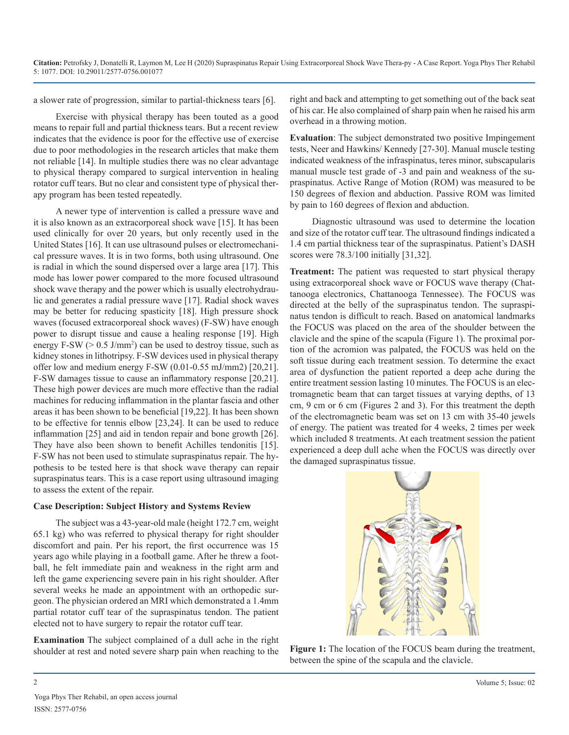a slower rate of progression, similar to partial-thickness tears [6].

Exercise with physical therapy has been touted as a good means to repair full and partial thickness tears. But a recent review indicates that the evidence is poor for the effective use of exercise due to poor methodologies in the research articles that make them not reliable [14]. In multiple studies there was no clear advantage to physical therapy compared to surgical intervention in healing rotator cuff tears. But no clear and consistent type of physical therapy program has been tested repeatedly.

A newer type of intervention is called a pressure wave and it is also known as an extracorporeal shock wave [15]. It has been used clinically for over 20 years, but only recently used in the United States [16]. It can use ultrasound pulses or electromechanical pressure waves. It is in two forms, both using ultrasound. One is radial in which the sound dispersed over a large area [17]. This mode has lower power compared to the more focused ultrasound shock wave therapy and the power which is usually electrohydraulic and generates a radial pressure wave [17]. Radial shock waves may be better for reducing spasticity [18]. High pressure shock waves (focused extracorporeal shock waves) (F-SW) have enough power to disrupt tissue and cause a healing response [19]. High energy  $F-SW$  ( $> 0.5$  J/mm<sup>2</sup>) can be used to destroy tissue, such as kidney stones in lithotripsy. F-SW devices used in physical therapy offer low and medium energy F-SW (0.01-0.55 mJ/mm2) [20,21]. F-SW damages tissue to cause an inflammatory response [20,21]. These high power devices are much more effective than the radial machines for reducing inflammation in the plantar fascia and other areas it has been shown to be beneficial [19,22]. It has been shown to be effective for tennis elbow [23,24]. It can be used to reduce inflammation [25] and aid in tendon repair and bone growth [26]. They have also been shown to benefit Achilles tendonitis [15]. F-SW has not been used to stimulate supraspinatus repair. The hypothesis to be tested here is that shock wave therapy can repair supraspinatus tears. This is a case report using ultrasound imaging to assess the extent of the repair.

#### **Case Description: Subject History and Systems Review**

The subject was a 43-year-old male (height 172.7 cm, weight 65.1 kg) who was referred to physical therapy for right shoulder discomfort and pain. Per his report, the first occurrence was 15 years ago while playing in a football game. After he threw a football, he felt immediate pain and weakness in the right arm and left the game experiencing severe pain in his right shoulder. After several weeks he made an appointment with an orthopedic surgeon. The physician ordered an MRI which demonstrated a 1.4mm partial rotator cuff tear of the supraspinatus tendon. The patient elected not to have surgery to repair the rotator cuff tear.

**Examination** The subject complained of a dull ache in the right shoulder at rest and noted severe sharp pain when reaching to the right and back and attempting to get something out of the back seat of his car. He also complained of sharp pain when he raised his arm overhead in a throwing motion.

**Evaluation**: The subject demonstrated two positive Impingement tests, Neer and Hawkins/ Kennedy [27-30]. Manual muscle testing indicated weakness of the infraspinatus, teres minor, subscapularis manual muscle test grade of -3 and pain and weakness of the supraspinatus. Active Range of Motion (ROM) was measured to be 150 degrees of flexion and abduction. Passive ROM was limited by pain to 160 degrees of flexion and abduction.

Diagnostic ultrasound was used to determine the location and size of the rotator cuff tear. The ultrasound findings indicated a 1.4 cm partial thickness tear of the supraspinatus. Patient's DASH scores were 78.3/100 initially [31,32].

**Treatment:** The patient was requested to start physical therapy using extracorporeal shock wave or FOCUS wave therapy (Chattanooga electronics, Chattanooga Tennessee). The FOCUS was directed at the belly of the supraspinatus tendon. The supraspinatus tendon is difficult to reach. Based on anatomical landmarks the FOCUS was placed on the area of the shoulder between the clavicle and the spine of the scapula (Figure 1). The proximal portion of the acromion was palpated, the FOCUS was held on the soft tissue during each treatment session. To determine the exact area of dysfunction the patient reported a deep ache during the entire treatment session lasting 10 minutes. The FOCUS is an electromagnetic beam that can target tissues at varying depths, of 13 cm, 9 cm or 6 cm (Figures 2 and 3). For this treatment the depth of the electromagnetic beam was set on 13 cm with 35-40 jewels of energy. The patient was treated for 4 weeks, 2 times per week which included 8 treatments. At each treatment session the patient experienced a deep dull ache when the FOCUS was directly over the damaged supraspinatus tissue.



**Figure 1:** The location of the FOCUS beam during the treatment, between the spine of the scapula and the clavicle.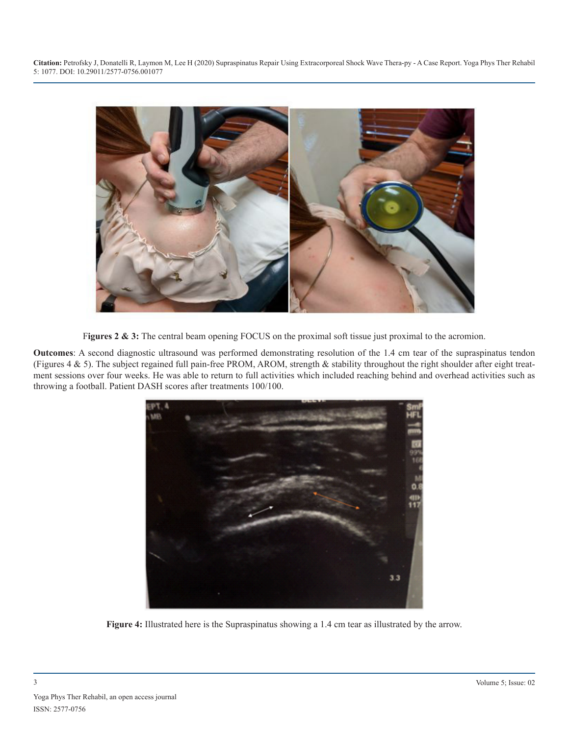**Citation:** Petrofsky J, Donatelli R, Laymon M, Lee H (2020) Supraspinatus Repair Using Extracorporeal Shock Wave Thera-py - A Case Report. Yoga Phys Ther Rehabil 5: 1077. DOI: 10.29011/2577-0756.001077



Figures 2 & 3: The central beam opening FOCUS on the proximal soft tissue just proximal to the acromion.

**Outcomes**: A second diagnostic ultrasound was performed demonstrating resolution of the 1.4 cm tear of the supraspinatus tendon (Figures 4 & 5). The subject regained full pain-free PROM, AROM, strength & stability throughout the right shoulder after eight treatment sessions over four weeks. He was able to return to full activities which included reaching behind and overhead activities such as throwing a football. Patient DASH scores after treatments 100/100.



**Figure 4:** Illustrated here is the Supraspinatus showing a 1.4 cm tear as illustrated by the arrow.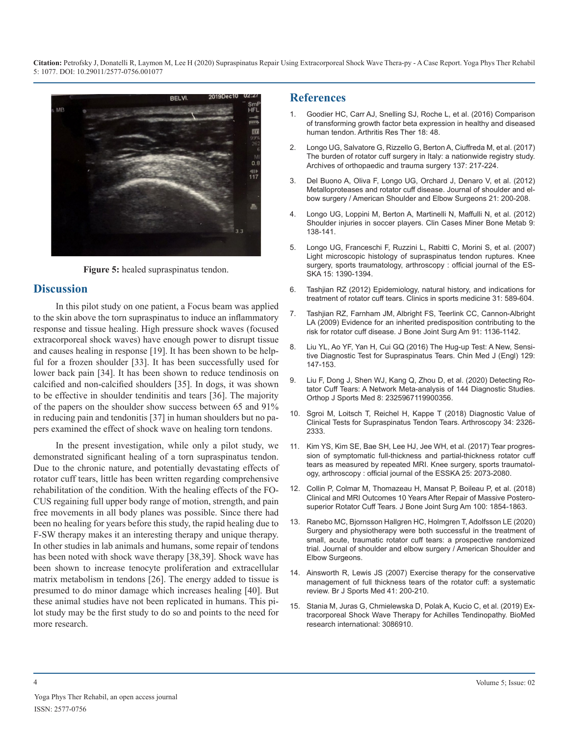**Citation:** Petrofsky J, Donatelli R, Laymon M, Lee H (2020) Supraspinatus Repair Using Extracorporeal Shock Wave Thera-py - A Case Report. Yoga Phys Ther Rehabil 5: 1077. DOI: 10.29011/2577-0756.001077



**Figure 5:** healed supraspinatus tendon.

### **Discussion**

In this pilot study on one patient, a Focus beam was applied to the skin above the torn supraspinatus to induce an inflammatory response and tissue healing. High pressure shock waves (focused extracorporeal shock waves) have enough power to disrupt tissue and causes healing in response [19]. It has been shown to be helpful for a frozen shoulder [33]. It has been successfully used for lower back pain [34]. It has been shown to reduce tendinosis on calcified and non-calcified shoulders [35]. In dogs, it was shown to be effective in shoulder tendinitis and tears [36]. The majority of the papers on the shoulder show success between 65 and 91% in reducing pain and tendonitis [37] in human shoulders but no papers examined the effect of shock wave on healing torn tendons.

In the present investigation, while only a pilot study, we demonstrated significant healing of a torn supraspinatus tendon. Due to the chronic nature, and potentially devastating effects of rotator cuff tears, little has been written regarding comprehensive rehabilitation of the condition. With the healing effects of the FO-CUS regaining full upper body range of motion, strength, and pain free movements in all body planes was possible. Since there had been no healing for years before this study, the rapid healing due to F-SW therapy makes it an interesting therapy and unique therapy. In other studies in lab animals and humans, some repair of tendons has been noted with shock wave therapy [38,39]. Shock wave has been shown to increase tenocyte proliferation and extracellular matrix metabolism in tendons [26]. The energy added to tissue is presumed to do minor damage which increases healing [40]. But these animal studies have not been replicated in humans. This pilot study may be the first study to do so and points to the need for more research.

#### **References**

- 1. [Goodier HC, Carr AJ, Snelling SJ, Roche L, et al. \(2016\) Comparison](https://arthritis-research.biomedcentral.com/articles/10.1186/s13075-016-0947-8)  of transforming growth factor beta expression in healthy and diseased [human tendon. Arthritis Res Ther 18: 48.](https://arthritis-research.biomedcentral.com/articles/10.1186/s13075-016-0947-8)
- 2. [Longo UG, Salvatore G, Rizzello G, Berton A, Ciuffreda M, et al. \(2017\)](https://europepmc.org/article/med/27933383)  The burden of rotator cuff surgery in Italy: a nationwide registry study. [Archives of orthopaedic and trauma surgery 137: 217-224.](https://europepmc.org/article/med/27933383)
- 3. [Del Buono A, Oliva F, Longo UG, Orchard J, Denaro V, et al. \(2012\)](https://www.jshoulderelbow.org/article/S1058-2746(11)00517-9/abstract)  Metalloproteases and rotator cuff disease. Journal of shoulder and el[bow surgery / American Shoulder and Elbow Surgeons 21: 200-208.](https://www.jshoulderelbow.org/article/S1058-2746(11)00517-9/abstract)
- 4. [Longo UG, Loppini M, Berton A, Martinelli N, Maffulli N, et al. \(2012\)](https://www.ncbi.nlm.nih.gov/pmc/articles/PMC3536009/)  Shoulder injuries in soccer players. Clin Cases Miner Bone Metab 9: [138-141](https://www.ncbi.nlm.nih.gov/pmc/articles/PMC3536009/).
- 5. [Longo UG, Franceschi F, Ruzzini L, Rabitti C, Morini S, et al. \(2007\)](https://europepmc.org/article/med/17721701) Light microscopic histology of supraspinatus tendon ruptures. Knee [surgery, sports traumatology, arthroscopy : official journal of the ES](https://europepmc.org/article/med/17721701)-[SKA 15: 1390-1394.](https://europepmc.org/article/med/17721701)
- 6. [Tashjian RZ \(2012\) Epidemiology, natural history, and indications for](https://pubmed.ncbi.nlm.nih.gov/23040548/)  treatment of rotator cuff tears. Clinics in sports medicine 31: 589-604.
- 7. [Tashjian RZ, Farnham JM, Albright FS, Teerlink CC, Cannon-Albright](https://pubmed.ncbi.nlm.nih.gov/19411462/)  LA (2009) Evidence for an inherited predisposition contributing to the [risk for rotator cuff disease. J Bone Joint Surg Am 91: 1136-1142](https://pubmed.ncbi.nlm.nih.gov/19411462/).
- 8. [Liu YL, Ao YF, Yan H, Cui GQ \(2016\) The Hug-up Test: A New, Sensi](https://pubmed.ncbi.nlm.nih.gov/26830984/)tive Diagnostic Test for Supraspinatus Tears. Chin Med J (Engl) 129: [147-153.](https://pubmed.ncbi.nlm.nih.gov/26830984/)
- 9. [Liu F, Dong J, Shen WJ, Kang Q, Zhou D, et al. \(2020\) Detecting Ro](https://pubmed.ncbi.nlm.nih.gov/32076627/)tator Cuff Tears: A Network Meta-analysis of 144 Diagnostic Studies. [Orthop J Sports Med 8: 2325967119900356.](https://pubmed.ncbi.nlm.nih.gov/32076627/)
- 10. [Sgroi M, Loitsch T, Reichel H, Kappe T \(2018\) Diagnostic Value of](https://pubmed.ncbi.nlm.nih.gov/29802066/)  Clinical Tests for Supraspinatus Tendon Tears. Arthroscopy 34: 2326- [2333.](https://pubmed.ncbi.nlm.nih.gov/29802066/)
- 11. [Kim YS, Kim SE, Bae SH, Lee HJ, Jee WH, et al. \(2017\) Tear progres](https://pubmed.ncbi.nlm.nih.gov/27904936/)sion of symptomatic full-thickness and partial-thickness rotator cuff [tears as measured by repeated MRI. Knee surgery, sports traumatol](https://pubmed.ncbi.nlm.nih.gov/27904936/)[ogy, arthroscopy : official journal of the ESSKA 25: 2073-2080](https://pubmed.ncbi.nlm.nih.gov/27904936/).
- 12. [Collin P, Colmar M, Thomazeau H, Mansat P, Boileau P, et al. \(2018\)](https://pubmed.ncbi.nlm.nih.gov/30399080/)  Clinical and MRI Outcomes 10 Years After Repair of Massive Postero[superior Rotator Cuff Tears. J Bone Joint Surg Am 100: 1854-1863.](https://pubmed.ncbi.nlm.nih.gov/30399080/)
- 13. [Ranebo MC, Bjornsson Hallgren HC, Holmgren T, Adolfsson LE \(2020\)](https://pubmed.ncbi.nlm.nih.gov/31924516/)  Surgery and physiotherapy were both successful in the treatment of [small, acute, traumatic rotator cuff tears: a prospective randomized](https://pubmed.ncbi.nlm.nih.gov/31924516/)  [trial. Journal of shoulder and elbow surgery / American Shoulder and](https://pubmed.ncbi.nlm.nih.gov/31924516/) [Elbow Surgeons.](https://pubmed.ncbi.nlm.nih.gov/31924516/)
- 14. [Ainsworth R, Lewis JS \(2007\) Exercise therapy for the conservative](https://pubmed.ncbi.nlm.nih.gov/17264144/)  management of full thickness tears of the rotator cuff: a systematic [review. Br J Sports Med 41: 200-210.](https://pubmed.ncbi.nlm.nih.gov/17264144/)
- 15. [Stania M, Juras G, Chmielewska D, Polak A, Kucio C, et al. \(2019\) Ex](https://www.hindawi.com/journals/bmri/2019/3086910/)tracorporeal Shock Wave Therapy for Achilles Tendinopathy. BioMed [research international: 3086910.](https://www.hindawi.com/journals/bmri/2019/3086910/)